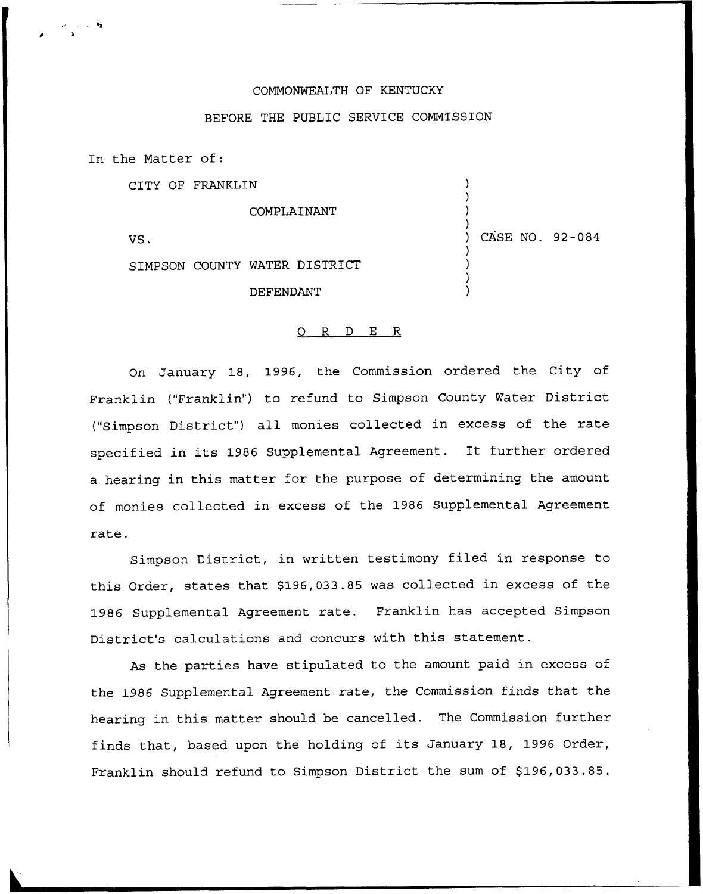## COMMONWEALTH OF KENTUCKY

## BEFORE THE PUBLIC SERVICE COMMISSION

In the Matter of:

CITY OF FRANKLIN

COMPLAINANT

VS.

) CASE NO. 92-084

) ) ) )

> ) ) ) )

SIMPSON COUNTY WATER DISTRICT

DEFENDANT

## 0 R <sup>D</sup> E R

On January 18, 1996, the Commission ordered the City of Franklin ("Franklin") to refund to Simpson County Water District ("Simpson District") all monies collected in excess of the rate specified in its <sup>1986</sup> Supplemental Agreement. It further ordered a hearing in this matter for the purpose of determining the amount of monies collected in excess of the 1986 Supplemental Agreement rate.

Simpson District, in written testimony filed in response to this Order, states that \$196,033.85 was collected in excess of the 1986 Supplemental Agreement rate. Franklin has accepted Simpson District's calculations and concurs with this statement.

As the parties have stipulated to the amount paid in excess of the 1986 Supplemental Agreement rate, the Commission finds that the hearing in this matter should be cancelled. The Commission further finds that, based upon the holding of its January 18, 1996 Order, Franklin should refund to Simpson District the sum of \$196,033.85.